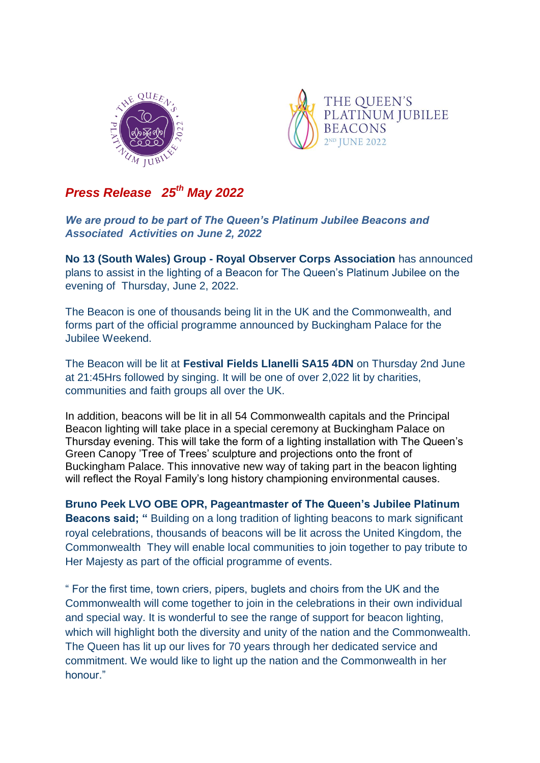



## *Press Release 25th May 2022*

*We are proud to be part of The Queen's Platinum Jubilee Beacons and Associated Activities on June 2, 2022*

**No 13 (South Wales) Group - Royal Observer Corps Association** has announced plans to assist in the lighting of a Beacon for The Queen's Platinum Jubilee on the evening of Thursday, June 2, 2022.

The Beacon is one of thousands being lit in the UK and the Commonwealth, and forms part of the official programme announced by Buckingham Palace for the Jubilee Weekend.

The Beacon will be lit at **Festival Fields Llanelli SA15 4DN** on Thursday 2nd June at 21:45Hrs followed by singing. It will be one of over 2,022 lit by charities, communities and faith groups all over the UK.

In addition, beacons will be lit in all 54 Commonwealth capitals and the Principal Beacon lighting will take place in a special ceremony at Buckingham Palace on Thursday evening. This will take the form of a lighting installation with The Queen's Green Canopy 'Tree of Trees' sculpture and projections onto the front of Buckingham Palace. This innovative new way of taking part in the beacon lighting will reflect the Royal Family's long history championing environmental causes.

**Bruno Peek LVO OBE OPR, Pageantmaster of The Queen's Jubilee Platinum Beacons said; "** Building on a long tradition of lighting beacons to mark significant royal celebrations, thousands of beacons will be lit across the United Kingdom, the Commonwealth They will enable local communities to join together to pay tribute to Her Majesty as part of the official programme of events.

" For the first time, town criers, pipers, buglets and choirs from the UK and the Commonwealth will come together to join in the celebrations in their own individual and special way. It is wonderful to see the range of support for beacon lighting, which will highlight both the diversity and unity of the nation and the Commonwealth. The Queen has lit up our lives for 70 years through her dedicated service and commitment. We would like to light up the nation and the Commonwealth in her honour."